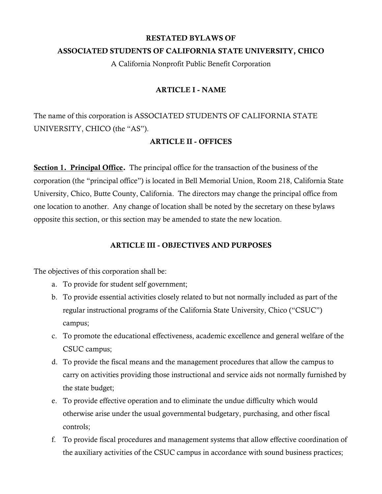#### RESTATED BYLAWS OF

## ASSOCIATED STUDENTS OF CALIFORNIA STATE UNIVERSITY, CHICO

A California Nonprofit Public Benefit Corporation

## ARTICLE I - NAME

The name of this corporation is ASSOCIATED STUDENTS OF CALIFORNIA STATE UNIVERSITY, CHICO (the "AS").

## ARTICLE II - OFFICES

 corporation (the "principal office") is located in Bell Memorial Union, Room 218, California State **Section 1. Principal Office.** The principal office for the transaction of the business of the University, Chico, Butte County, California. The directors may change the principal office from one location to another. Any change of location shall be noted by the secretary on these bylaws opposite this section, or this section may be amended to state the new location.

## ARTICLE III - OBJECTIVES AND PURPOSES

The objectives of this corporation shall be:

- a. To provide for student self government;
- b. To provide essential activities closely related to but not normally included as part of the regular instructional programs of the California State University, Chico ("CSUC") campus;
- c. To promote the educational effectiveness, academic excellence and general welfare of the CSUC campus;
- d. To provide the fiscal means and the management procedures that allow the campus to carry on activities providing those instructional and service aids not normally furnished by the state budget;
- e. To provide effective operation and to eliminate the undue difficulty which would otherwise arise under the usual governmental budgetary, purchasing, and other fiscal controls;
- f. To provide fiscal procedures and management systems that allow effective coordination of the auxiliary activities of the CSUC campus in accordance with sound business practices;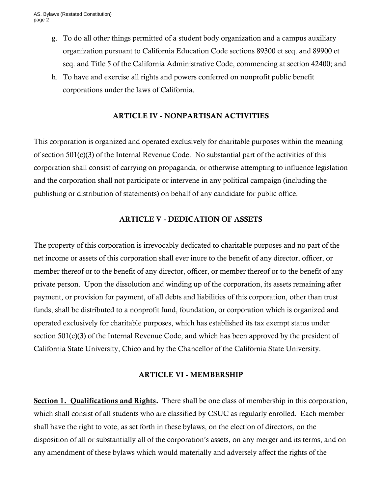- g. To do all other things permitted of a student body organization and a campus auxiliary organization pursuant to California Education Code sections 89300 et seq. and 89900 et seq. and Title 5 of the California Administrative Code, commencing at section 42400; and
- h. To have and exercise all rights and powers conferred on nonprofit public benefit corporations under the laws of California.

#### ARTICLE IV - NONPARTISAN ACTIVITIES

This corporation is organized and operated exclusively for charitable purposes within the meaning of section 501(c)(3) of the Internal Revenue Code. No substantial part of the activities of this corporation shall consist of carrying on propaganda, or otherwise attempting to influence legislation and the corporation shall not participate or intervene in any political campaign (including the publishing or distribution of statements) on behalf of any candidate for public office.

#### ARTICLE V - DEDICATION OF ASSETS

The property of this corporation is irrevocably dedicated to charitable purposes and no part of the net income or assets of this corporation shall ever inure to the benefit of any director, officer, or member thereof or to the benefit of any director, officer, or member thereof or to the benefit of any private person. Upon the dissolution and winding up of the corporation, its assets remaining after payment, or provision for payment, of all debts and liabilities of this corporation, other than trust funds, shall be distributed to a nonprofit fund, foundation, or corporation which is organized and operated exclusively for charitable purposes, which has established its tax exempt status under section 501(c)(3) of the Internal Revenue Code, and which has been approved by the president of California State University, Chico and by the Chancellor of the California State University.

#### ARTICLE VI - MEMBERSHIP

 disposition of all or substantially all of the corporation's assets, on any merger and its terms, and on Section 1. Qualifications and Rights. There shall be one class of membership in this corporation, which shall consist of all students who are classified by CSUC as regularly enrolled. Each member shall have the right to vote, as set forth in these bylaws, on the election of directors, on the any amendment of these bylaws which would materially and adversely affect the rights of the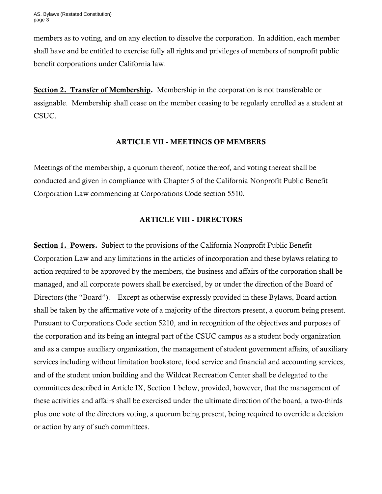members as to voting, and on any election to dissolve the corporation. In addition, each member shall have and be entitled to exercise fully all rights and privileges of members of nonprofit public benefit corporations under California law.

Section 2. Transfer of Membership. Membership in the corporation is not transferable or assignable. Membership shall cease on the member ceasing to be regularly enrolled as a student at CSUC.

## ARTICLE VII - MEETINGS OF MEMBERS

Meetings of the membership, a quorum thereof, notice thereof, and voting thereat shall be conducted and given in compliance with Chapter 5 of the California Nonprofit Public Benefit Corporation Law commencing at Corporations Code section 5510.

# ARTICLE VIII - DIRECTORS

Section 1. Powers. Subject to the provisions of the California Nonprofit Public Benefit Corporation Law and any limitations in the articles of incorporation and these bylaws relating to action required to be approved by the members, the business and affairs of the corporation shall be managed, and all corporate powers shall be exercised, by or under the direction of the Board of Directors (the "Board"). Except as otherwise expressly provided in these Bylaws, Board action shall be taken by the affirmative vote of a majority of the directors present, a quorum being present. Pursuant to Corporations Code section 5210, and in recognition of the objectives and purposes of the corporation and its being an integral part of the CSUC campus as a student body organization and as a campus auxiliary organization, the management of student government affairs, of auxiliary services including without limitation bookstore, food service and financial and accounting services, and of the student union building and the Wildcat Recreation Center shall be delegated to the committees described in Article IX, Section 1 below, provided, however, that the management of these activities and affairs shall be exercised under the ultimate direction of the board, a two-thirds plus one vote of the directors voting, a quorum being present, being required to override a decision or action by any of such committees.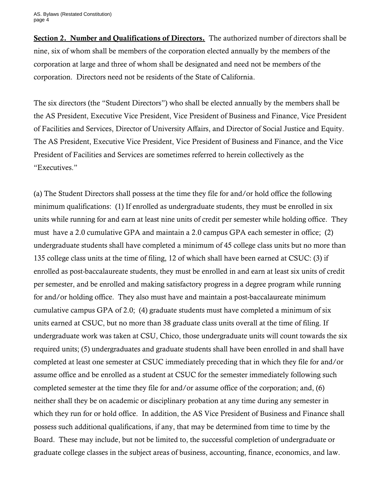Section 2. Number and Qualifications of Directors. The authorized number of directors shall be nine, six of whom shall be members of the corporation elected annually by the members of the corporation at large and three of whom shall be designated and need not be members of the corporation. Directors need not be residents of the State of California.

The six directors (the "Student Directors") who shall be elected annually by the members shall be the AS President, Executive Vice President, Vice President of Business and Finance, Vice President of Facilities and Services, Director of University Affairs, and Director of Social Justice and Equity. The AS President, Executive Vice President, Vice President of Business and Finance, and the Vice President of Facilities and Services are sometimes referred to herein collectively as the "Executives."

(a) The Student Directors shall possess at the time they file for and/or hold office the following minimum qualifications: (1) If enrolled as undergraduate students, they must be enrolled in six units while running for and earn at least nine units of credit per semester while holding office. They must have a 2.0 cumulative GPA and maintain a 2.0 campus GPA each semester in office; (2) undergraduate students shall have completed a minimum of 45 college class units but no more than 135 college class units at the time of filing, 12 of which shall have been earned at CSUC: (3) if enrolled as post-baccalaureate students, they must be enrolled in and earn at least six units of credit per semester, and be enrolled and making satisfactory progress in a degree program while running for and/or holding office. They also must have and maintain a post-baccalaureate minimum cumulative campus GPA of 2.0; (4) graduate students must have completed a minimum of six units earned at CSUC, but no more than 38 graduate class units overall at the time of filing. If undergraduate work was taken at CSU, Chico, those undergraduate units will count towards the six required units; (5) undergraduates and graduate students shall have been enrolled in and shall have completed at least one semester at CSUC immediately preceding that in which they file for and/or assume office and be enrolled as a student at CSUC for the semester immediately following such completed semester at the time they file for and/or assume office of the corporation; and, (6) neither shall they be on academic or disciplinary probation at any time during any semester in which they run for or hold office. In addition, the AS Vice President of Business and Finance shall possess such additional qualifications, if any, that may be determined from time to time by the Board. These may include, but not be limited to, the successful completion of undergraduate or graduate college classes in the subject areas of business, accounting, finance, economics, and law.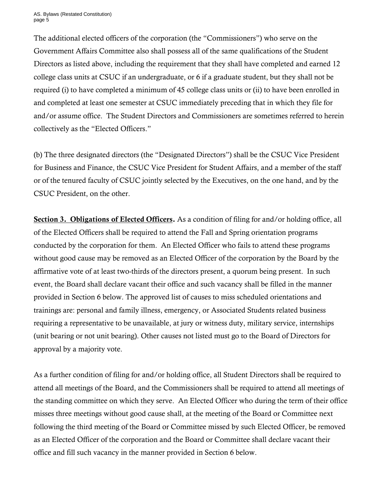AS. Bylaws (Restated Constitution) page 5

 The additional elected officers of the corporation (the "Commissioners") who serve on the Government Affairs Committee also shall possess all of the same qualifications of the Student Directors as listed above, including the requirement that they shall have completed and earned 12 college class units at CSUC if an undergraduate, or 6 if a graduate student, but they shall not be required (i) to have completed a minimum of 45 college class units or (ii) to have been enrolled in and completed at least one semester at CSUC immediately preceding that in which they file for and/or assume office. The Student Directors and Commissioners are sometimes referred to herein collectively as the "Elected Officers."

(b) The three designated directors (the "Designated Directors") shall be the CSUC Vice President for Business and Finance, the CSUC Vice President for Student Affairs, and a member of the staff or of the tenured faculty of CSUC jointly selected by the Executives, on the one hand, and by the CSUC President, on the other.

Section 3. Obligations of Elected Officers. As a condition of filing for and/or holding office, all of the Elected Officers shall be required to attend the Fall and Spring orientation programs conducted by the corporation for them. An Elected Officer who fails to attend these programs without good cause may be removed as an Elected Officer of the corporation by the Board by the affirmative vote of at least two-thirds of the directors present, a quorum being present. In such event, the Board shall declare vacant their office and such vacancy shall be filled in the manner provided in Section 6 below. The approved list of causes to miss scheduled orientations and trainings are: personal and family illness, emergency, or Associated Students related business requiring a representative to be unavailable, at jury or witness duty, military service, internships (unit bearing or not unit bearing). Other causes not listed must go to the Board of Directors for approval by a majority vote.

As a further condition of filing for and/or holding office, all Student Directors shall be required to attend all meetings of the Board, and the Commissioners shall be required to attend all meetings of the standing committee on which they serve. An Elected Officer who during the term of their office misses three meetings without good cause shall, at the meeting of the Board or Committee next following the third meeting of the Board or Committee missed by such Elected Officer, be removed as an Elected Officer of the corporation and the Board or Committee shall declare vacant their office and fill such vacancy in the manner provided in Section 6 below.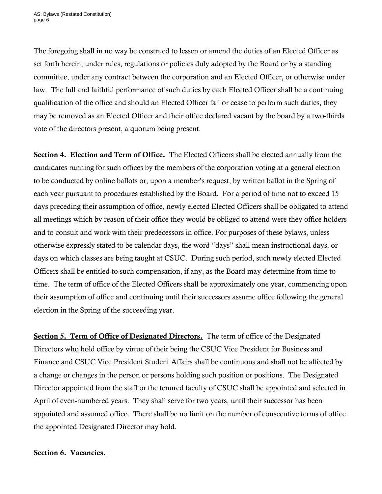The foregoing shall in no way be construed to lessen or amend the duties of an Elected Officer as set forth herein, under rules, regulations or policies duly adopted by the Board or by a standing committee, under any contract between the corporation and an Elected Officer, or otherwise under law. The full and faithful performance of such duties by each Elected Officer shall be a continuing qualification of the office and should an Elected Officer fail or cease to perform such duties, they may be removed as an Elected Officer and their office declared vacant by the board by a two-thirds vote of the directors present, a quorum being present.

 otherwise expressly stated to be calendar days, the word "days" shall mean instructional days, or Section 4. Election and Term of Office. The Elected Officers shall be elected annually from the candidates running for such offices by the members of the corporation voting at a general election to be conducted by online ballots or, upon a member's request, by written ballot in the Spring of each year pursuant to procedures established by the Board. For a period of time not to exceed 15 days preceding their assumption of office, newly elected Elected Officers shall be obligated to attend all meetings which by reason of their office they would be obliged to attend were they office holders and to consult and work with their predecessors in office. For purposes of these bylaws, unless days on which classes are being taught at CSUC. During such period, such newly elected Elected Officers shall be entitled to such compensation, if any, as the Board may determine from time to time. The term of office of the Elected Officers shall be approximately one year, commencing upon their assumption of office and continuing until their successors assume office following the general election in the Spring of the succeeding year.

Section 5. Term of Office of Designated Directors. The term of office of the Designated Directors who hold office by virtue of their being the CSUC Vice President for Business and Finance and CSUC Vice President Student Affairs shall be continuous and shall not be affected by a change or changes in the person or persons holding such position or positions. The Designated Director appointed from the staff or the tenured faculty of CSUC shall be appointed and selected in April of even-numbered years. They shall serve for two years, until their successor has been appointed and assumed office. There shall be no limit on the number of consecutive terms of office the appointed Designated Director may hold.

## Section 6. Vacancies.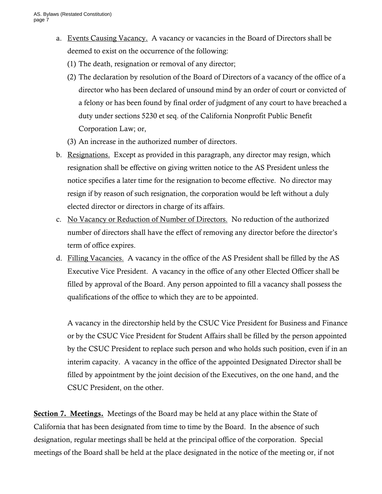- a. Events Causing Vacancy. A vacancy or vacancies in the Board of Directors shall be deemed to exist on the occurrence of the following:
	- (1) The death, resignation or removal of any director;
	- (2) The declaration by resolution of the Board of Directors of a vacancy of the office of a director who has been declared of unsound mind by an order of court or convicted of a felony or has been found by final order of judgment of any court to have breached a duty under sections 5230 et seq. of the California Nonprofit Public Benefit Corporation Law; or,
	- (3) An increase in the authorized number of directors.
- b. Resignations. Except as provided in this paragraph, any director may resign, which resignation shall be effective on giving written notice to the AS President unless the notice specifies a later time for the resignation to become effective. No director may resign if by reason of such resignation, the corporation would be left without a duly elected director or directors in charge of its affairs.
- number of directors shall have the effect of removing any director before the director's c. No Vacancy or Reduction of Number of Directors. No reduction of the authorized term of office expires.
- d. Filling Vacancies. A vacancy in the office of the AS President shall be filled by the AS Executive Vice President. A vacancy in the office of any other Elected Officer shall be filled by approval of the Board. Any person appointed to fill a vacancy shall possess the qualifications of the office to which they are to be appointed.

A vacancy in the directorship held by the CSUC Vice President for Business and Finance or by the CSUC Vice President for Student Affairs shall be filled by the person appointed by the CSUC President to replace such person and who holds such position, even if in an interim capacity. A vacancy in the office of the appointed Designated Director shall be filled by appointment by the joint decision of the Executives, on the one hand, and the CSUC President, on the other.

Section 7. Meetings. Meetings of the Board may be held at any place within the State of California that has been designated from time to time by the Board. In the absence of such designation, regular meetings shall be held at the principal office of the corporation. Special meetings of the Board shall be held at the place designated in the notice of the meeting or, if not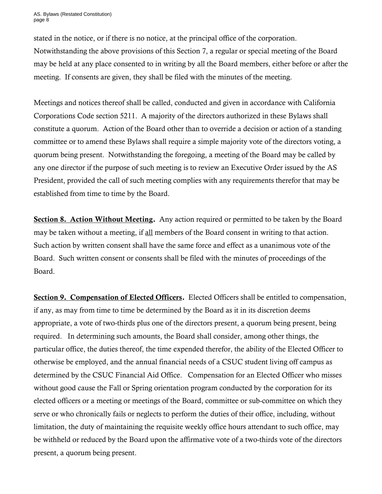AS. Bylaws (Restated Constitution) page 8

stated in the notice, or if there is no notice, at the principal office of the corporation. Notwithstanding the above provisions of this Section 7, a regular or special meeting of the Board may be held at any place consented to in writing by all the Board members, either before or after the meeting. If consents are given, they shall be filed with the minutes of the meeting.

Meetings and notices thereof shall be called, conducted and given in accordance with California Corporations Code section 5211. A majority of the directors authorized in these Bylaws shall constitute a quorum. Action of the Board other than to override a decision or action of a standing committee or to amend these Bylaws shall require a simple majority vote of the directors voting, a quorum being present. Notwithstanding the foregoing, a meeting of the Board may be called by any one director if the purpose of such meeting is to review an Executive Order issued by the AS President, provided the call of such meeting complies with any requirements therefor that may be established from time to time by the Board.

Section 8. Action Without Meeting. Any action required or permitted to be taken by the Board may be taken without a meeting, if all members of the Board consent in writing to that action. Such action by written consent shall have the same force and effect as a unanimous vote of the Board. Such written consent or consents shall be filed with the minutes of proceedings of the Board.

Section 9. Compensation of Elected Officers. Elected Officers shall be entitled to compensation, if any, as may from time to time be determined by the Board as it in its discretion deems appropriate, a vote of two-thirds plus one of the directors present, a quorum being present, being required. In determining such amounts, the Board shall consider, among other things, the particular office, the duties thereof, the time expended therefor, the ability of the Elected Officer to otherwise be employed, and the annual financial needs of a CSUC student living off campus as determined by the CSUC Financial Aid Office. Compensation for an Elected Officer who misses without good cause the Fall or Spring orientation program conducted by the corporation for its elected officers or a meeting or meetings of the Board, committee or sub-committee on which they serve or who chronically fails or neglects to perform the duties of their office, including, without limitation, the duty of maintaining the requisite weekly office hours attendant to such office, may be withheld or reduced by the Board upon the affirmative vote of a two-thirds vote of the directors present, a quorum being present.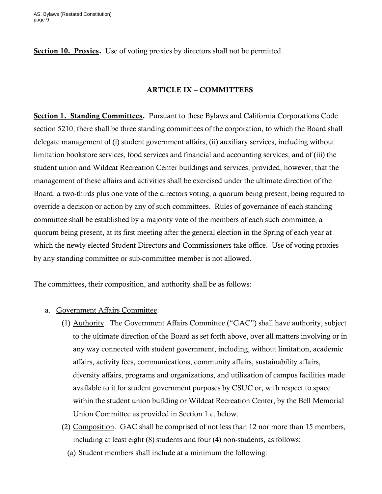Section 10. Proxies. Use of voting proxies by directors shall not be permitted.

#### ARTICLE IX – COMMITTEES

Section 1. Standing Committees. Pursuant to these Bylaws and California Corporations Code section 5210, there shall be three standing committees of the corporation, to which the Board shall delegate management of (i) student government affairs, (ii) auxiliary services, including without limitation bookstore services, food services and financial and accounting services, and of (iii) the student union and Wildcat Recreation Center buildings and services, provided, however, that the management of these affairs and activities shall be exercised under the ultimate direction of the Board, a two-thirds plus one vote of the directors voting, a quorum being present, being required to override a decision or action by any of such committees. Rules of governance of each standing committee shall be established by a majority vote of the members of each such committee, a quorum being present, at its first meeting after the general election in the Spring of each year at which the newly elected Student Directors and Commissioners take office. Use of voting proxies by any standing committee or sub-committee member is not allowed.

The committees, their composition, and authority shall be as follows:

- a. Government Affairs Committee.
	- (1) **Authority**. The Government Affairs Committee ("GAC") shall have authority, subject to the ultimate direction of the Board as set forth above, over all matters involving or in any way connected with student government, including, without limitation, academic affairs, activity fees, communications, community affairs, sustainability affairs, diversity affairs, programs and organizations, and utilization of campus facilities made available to it for student government purposes by CSUC or, with respect to space within the student union building or Wildcat Recreation Center, by the Bell Memorial Union Committee as provided in Section 1.c. below.
	- (2) Composition. GAC shall be comprised of not less than 12 nor more than 15 members, including at least eight (8) students and four (4) non-students, as follows:
		- (a) Student members shall include at a minimum the following: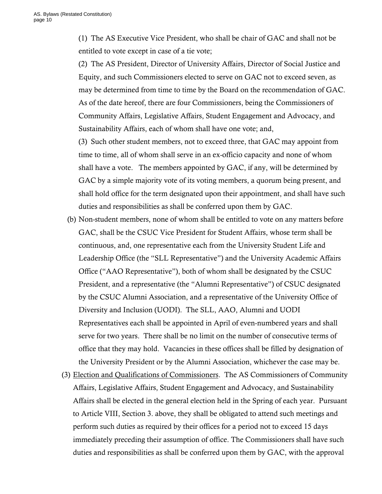(1) The AS Executive Vice President, who shall be chair of GAC and shall not be entitled to vote except in case of a tie vote;

(2) The AS President, Director of University Affairs, Director of Social Justice and Equity, and such Commissioners elected to serve on GAC not to exceed seven, as may be determined from time to time by the Board on the recommendation of GAC. As of the date hereof, there are four Commissioners, being the Commissioners of Community Affairs, Legislative Affairs, Student Engagement and Advocacy, and Sustainability Affairs, each of whom shall have one vote; and,

(3) Such other student members, not to exceed three, that GAC may appoint from time to time, all of whom shall serve in an ex-officio capacity and none of whom shall have a vote. The members appointed by GAC, if any, will be determined by GAC by a simple majority vote of its voting members, a quorum being present, and shall hold office for the term designated upon their appointment, and shall have such duties and responsibilities as shall be conferred upon them by GAC.

- Office ("AAO Representative"), both of whom shall be designated by the CSUC (b) Non-student members, none of whom shall be entitled to vote on any matters before GAC, shall be the CSUC Vice President for Student Affairs, whose term shall be continuous, and, one representative each from the University Student Life and Leadership Office (the "SLL Representative") and the University Academic Affairs President, and a representative (the "Alumni Representative") of CSUC designated by the CSUC Alumni Association, and a representative of the University Office of Diversity and Inclusion (UODI). The SLL, AAO, Alumni and UODI Representatives each shall be appointed in April of even-numbered years and shall serve for two years. There shall be no limit on the number of consecutive terms of office that they may hold. Vacancies in these offices shall be filled by designation of the University President or by the Alumni Association, whichever the case may be.
- (3) Election and Qualifications of Commissioners. The AS Commissioners of Community Affairs, Legislative Affairs, Student Engagement and Advocacy, and Sustainability Affairs shall be elected in the general election held in the Spring of each year. Pursuant to Article VIII, Section 3. above, they shall be obligated to attend such meetings and perform such duties as required by their offices for a period not to exceed 15 days immediately preceding their assumption of office. The Commissioners shall have such duties and responsibilities as shall be conferred upon them by GAC, with the approval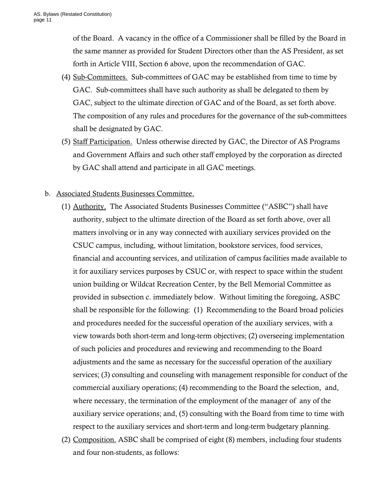of the Board. A vacancy in the office of a Commissioner shall be filled by the Board in the same manner as provided for Student Directors other than the AS President, as set forth in Article VIII, Section 6 above, upon the recommendation of GAC.

- (4) Sub-Committees. Sub-committees of GAC may be established from time to time by GAC. Sub-committees shall have such authority as shall be delegated to them by GAC, subject to the ultimate direction of GAC and of the Board, as set forth above. The composition of any rules and procedures for the governance of the sub-committees shall be designated by GAC.
- (5) Staff Participation. Unless otherwise directed by GAC, the Director of AS Programs and Government Affairs and such other staff employed by the corporation as directed by GAC shall attend and participate in all GAC meetings.

## b. Associated Students Businesses Committee.

- (1) Authority. The Associated Students Businesses Committee ("ASBC") shall have authority, subject to the ultimate direction of the Board as set forth above, over all matters involving or in any way connected with auxiliary services provided on the CSUC campus, including, without limitation, bookstore services, food services, financial and accounting services, and utilization of campus facilities made available to it for auxiliary services purposes by CSUC or, with respect to space within the student union building or Wildcat Recreation Center, by the Bell Memorial Committee as provided in subsection c. immediately below. Without limiting the foregoing, ASBC shall be responsible for the following: (1) Recommending to the Board broad policies and procedures needed for the successful operation of the auxiliary services, with a view towards both short-term and long-term objectives; (2) overseeing implementation of such policies and procedures and reviewing and recommending to the Board adjustments and the same as necessary for the successful operation of the auxiliary services; (3) consulting and counseling with management responsible for conduct of the commercial auxiliary operations; (4) recommending to the Board the selection, and, where necessary, the termination of the employment of the manager of any of the auxiliary service operations; and, (5) consulting with the Board from time to time with respect to the auxiliary services and short-term and long-term budgetary planning.
- (2) Composition. ASBC shall be comprised of eight (8) members, including four students and four non-students, as follows: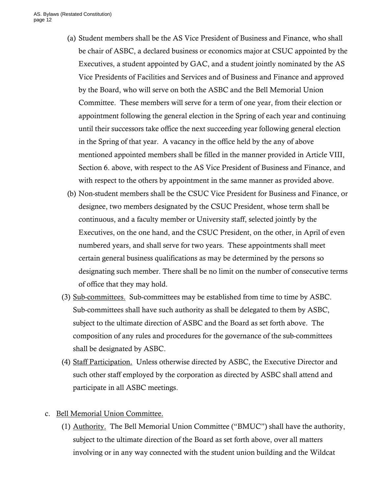- (a) Student members shall be the AS Vice President of Business and Finance, who shall be chair of ASBC, a declared business or economics major at CSUC appointed by the Executives, a student appointed by GAC, and a student jointly nominated by the AS Vice Presidents of Facilities and Services and of Business and Finance and approved by the Board, who will serve on both the ASBC and the Bell Memorial Union Committee. These members will serve for a term of one year, from their election or appointment following the general election in the Spring of each year and continuing until their successors take office the next succeeding year following general election in the Spring of that year. A vacancy in the office held by the any of above mentioned appointed members shall be filled in the manner provided in Article VIII, Section 6. above, with respect to the AS Vice President of Business and Finance, and with respect to the others by appointment in the same manner as provided above.
- (b) Non-student members shall be the CSUC Vice President for Business and Finance, or designee, two members designated by the CSUC President, whose term shall be continuous, and a faculty member or University staff, selected jointly by the Executives, on the one hand, and the CSUC President, on the other, in April of even numbered years, and shall serve for two years. These appointments shall meet certain general business qualifications as may be determined by the persons so designating such member. There shall be no limit on the number of consecutive terms of office that they may hold.
- (3) Sub-committees. Sub-committees may be established from time to time by ASBC. Sub-committees shall have such authority as shall be delegated to them by ASBC, subject to the ultimate direction of ASBC and the Board as set forth above. The composition of any rules and procedures for the governance of the sub-committees shall be designated by ASBC.
- (4) Staff Participation. Unless otherwise directed by ASBC, the Executive Director and such other staff employed by the corporation as directed by ASBC shall attend and participate in all ASBC meetings.
- c. Bell Memorial Union Committee.
	- (1) **Authority.** The Bell Memorial Union Committee ("BMUC") shall have the authority, subject to the ultimate direction of the Board as set forth above, over all matters involving or in any way connected with the student union building and the Wildcat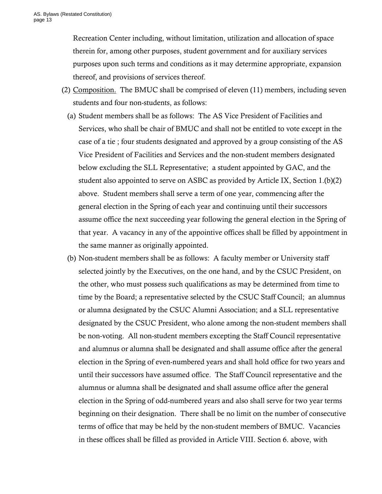Recreation Center including, without limitation, utilization and allocation of space therein for, among other purposes, student government and for auxiliary services purposes upon such terms and conditions as it may determine appropriate, expansion thereof, and provisions of services thereof.

- (2) Composition. The BMUC shall be comprised of eleven (11) members, including seven students and four non-students, as follows:
	- (a) Student members shall be as follows: The AS Vice President of Facilities and Services, who shall be chair of BMUC and shall not be entitled to vote except in the case of a tie ; four students designated and approved by a group consisting of the AS Vice President of Facilities and Services and the non-student members designated below excluding the SLL Representative; a student appointed by GAC, and the student also appointed to serve on ASBC as provided by Article IX, Section 1.(b)(2) above. Student members shall serve a term of one year, commencing after the general election in the Spring of each year and continuing until their successors assume office the next succeeding year following the general election in the Spring of that year. A vacancy in any of the appointive offices shall be filled by appointment in the same manner as originally appointed.
	- (b) Non-student members shall be as follows: A faculty member or University staff selected jointly by the Executives, on the one hand, and by the CSUC President, on the other, who must possess such qualifications as may be determined from time to time by the Board; a representative selected by the CSUC Staff Council; an alumnus or alumna designated by the CSUC Alumni Association; and a SLL representative designated by the CSUC President, who alone among the non-student members shall be non-voting. All non-student members excepting the Staff Council representative and alumnus or alumna shall be designated and shall assume office after the general election in the Spring of even-numbered years and shall hold office for two years and until their successors have assumed office. The Staff Council representative and the alumnus or alumna shall be designated and shall assume office after the general election in the Spring of odd-numbered years and also shall serve for two year terms beginning on their designation. There shall be no limit on the number of consecutive terms of office that may be held by the non-student members of BMUC. Vacancies in these offices shall be filled as provided in Article VIII. Section 6. above, with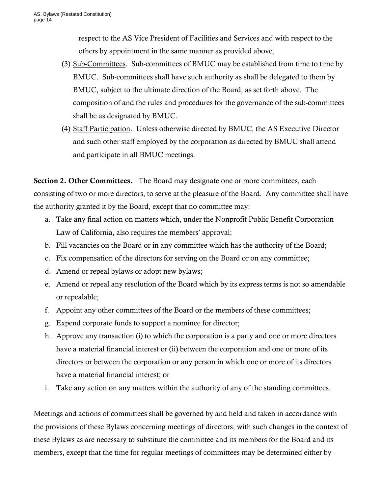respect to the AS Vice President of Facilities and Services and with respect to the others by appointment in the same manner as provided above.

- (3) Sub-Committees. Sub-committees of BMUC may be established from time to time by BMUC. Sub-committees shall have such authority as shall be delegated to them by BMUC, subject to the ultimate direction of the Board, as set forth above. The composition of and the rules and procedures for the governance of the sub-committees shall be as designated by BMUC.
- (4) Staff Participation. Unless otherwise directed by BMUC, the AS Executive Director and such other staff employed by the corporation as directed by BMUC shall attend and participate in all BMUC meetings.

Section 2. Other Committees. The Board may designate one or more committees, each consisting of two or more directors, to serve at the pleasure of the Board. Any committee shall have the authority granted it by the Board, except that no committee may:

- a. Take any final action on matters which, under the Nonprofit Public Benefit Corporation Law of California, also requires the members' approval;
- b. Fill vacancies on the Board or in any committee which has the authority of the Board;
- c. Fix compensation of the directors for serving on the Board or on any committee;
- d. Amend or repeal bylaws or adopt new bylaws;
- e. Amend or repeal any resolution of the Board which by its express terms is not so amendable or repealable;
- f. Appoint any other committees of the Board or the members of these committees;
- g. Expend corporate funds to support a nominee for director;
- h. Approve any transaction (i) to which the corporation is a party and one or more directors have a material financial interest or (ii) between the corporation and one or more of its directors or between the corporation or any person in which one or more of its directors have a material financial interest; or
- i. Take any action on any matters within the authority of any of the standing committees.

Meetings and actions of committees shall be governed by and held and taken in accordance with the provisions of these Bylaws concerning meetings of directors, with such changes in the context of these Bylaws as are necessary to substitute the committee and its members for the Board and its members, except that the time for regular meetings of committees may be determined either by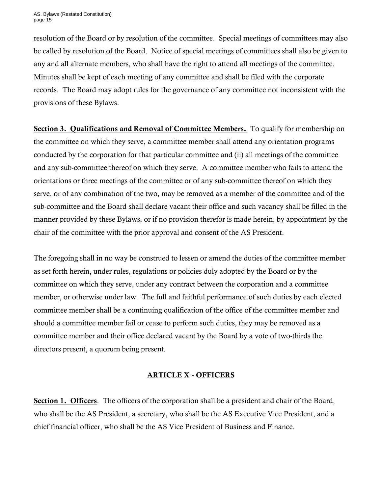resolution of the Board or by resolution of the committee. Special meetings of committees may also be called by resolution of the Board. Notice of special meetings of committees shall also be given to any and all alternate members, who shall have the right to attend all meetings of the committee. Minutes shall be kept of each meeting of any committee and shall be filed with the corporate records. The Board may adopt rules for the governance of any committee not inconsistent with the provisions of these Bylaws.

Section 3. Qualifications and Removal of Committee Members. To qualify for membership on the committee on which they serve, a committee member shall attend any orientation programs conducted by the corporation for that particular committee and (ii) all meetings of the committee and any sub-committee thereof on which they serve. A committee member who fails to attend the orientations or three meetings of the committee or of any sub-committee thereof on which they serve, or of any combination of the two, may be removed as a member of the committee and of the sub-committee and the Board shall declare vacant their office and such vacancy shall be filled in the manner provided by these Bylaws, or if no provision therefor is made herein, by appointment by the chair of the committee with the prior approval and consent of the AS President.

The foregoing shall in no way be construed to lessen or amend the duties of the committee member as set forth herein, under rules, regulations or policies duly adopted by the Board or by the committee on which they serve, under any contract between the corporation and a committee member, or otherwise under law. The full and faithful performance of such duties by each elected committee member shall be a continuing qualification of the office of the committee member and should a committee member fail or cease to perform such duties, they may be removed as a committee member and their office declared vacant by the Board by a vote of two-thirds the directors present, a quorum being present.

## ARTICLE X - OFFICERS

Section 1. Officers. The officers of the corporation shall be a president and chair of the Board, who shall be the AS President, a secretary, who shall be the AS Executive Vice President, and a chief financial officer, who shall be the AS Vice President of Business and Finance.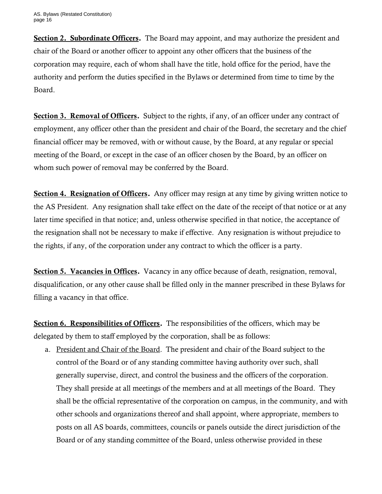Section 2. Subordinate Officers. The Board may appoint, and may authorize the president and chair of the Board or another officer to appoint any other officers that the business of the corporation may require, each of whom shall have the title, hold office for the period, have the authority and perform the duties specified in the Bylaws or determined from time to time by the Board.

Section 3. Removal of Officers. Subject to the rights, if any, of an officer under any contract of employment, any officer other than the president and chair of the Board, the secretary and the chief financial officer may be removed, with or without cause, by the Board, at any regular or special meeting of the Board, or except in the case of an officer chosen by the Board, by an officer on whom such power of removal may be conferred by the Board.

Section 4. Resignation of Officers. Any officer may resign at any time by giving written notice to the AS President. Any resignation shall take effect on the date of the receipt of that notice or at any later time specified in that notice; and, unless otherwise specified in that notice, the acceptance of the resignation shall not be necessary to make if effective. Any resignation is without prejudice to the rights, if any, of the corporation under any contract to which the officer is a party.

Section 5. Vacancies in Offices. Vacancy in any office because of death, resignation, removal, disqualification, or any other cause shall be filled only in the manner prescribed in these Bylaws for filling a vacancy in that office.

Section 6. Responsibilities of Officers. The responsibilities of the officers, which may be delegated by them to staff employed by the corporation, shall be as follows:

a. President and Chair of the Board. The president and chair of the Board subject to the control of the Board or of any standing committee having authority over such, shall generally supervise, direct, and control the business and the officers of the corporation. They shall preside at all meetings of the members and at all meetings of the Board. They shall be the official representative of the corporation on campus, in the community, and with other schools and organizations thereof and shall appoint, where appropriate, members to posts on all AS boards, committees, councils or panels outside the direct jurisdiction of the Board or of any standing committee of the Board, unless otherwise provided in these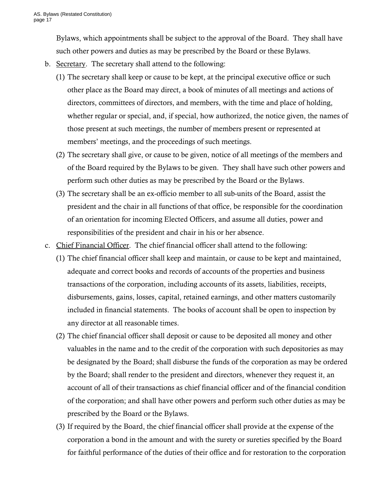Bylaws, which appointments shall be subject to the approval of the Board. They shall have such other powers and duties as may be prescribed by the Board or these Bylaws.

- b. Secretary. The secretary shall attend to the following:
	- members' meetings, and the proceedings of such meetings. (1) The secretary shall keep or cause to be kept, at the principal executive office or such other place as the Board may direct, a book of minutes of all meetings and actions of directors, committees of directors, and members, with the time and place of holding, whether regular or special, and, if special, how authorized, the notice given, the names of those present at such meetings, the number of members present or represented at
	- (2) The secretary shall give, or cause to be given, notice of all meetings of the members and of the Board required by the Bylaws to be given. They shall have such other powers and perform such other duties as may be prescribed by the Board or the Bylaws.
	- (3) The secretary shall be an ex-officio member to all sub-units of the Board, assist the president and the chair in all functions of that office, be responsible for the coordination of an orientation for incoming Elected Officers, and assume all duties, power and responsibilities of the president and chair in his or her absence.
- c. Chief Financial Officer. The chief financial officer shall attend to the following:
	- (1) The chief financial officer shall keep and maintain, or cause to be kept and maintained, adequate and correct books and records of accounts of the properties and business transactions of the corporation, including accounts of its assets, liabilities, receipts, disbursements, gains, losses, capital, retained earnings, and other matters customarily included in financial statements. The books of account shall be open to inspection by any director at all reasonable times.
	- (2) The chief financial officer shall deposit or cause to be deposited all money and other valuables in the name and to the credit of the corporation with such depositories as may be designated by the Board; shall disburse the funds of the corporation as may be ordered by the Board; shall render to the president and directors, whenever they request it, an account of all of their transactions as chief financial officer and of the financial condition of the corporation; and shall have other powers and perform such other duties as may be prescribed by the Board or the Bylaws.
	- (3) If required by the Board, the chief financial officer shall provide at the expense of the corporation a bond in the amount and with the surety or sureties specified by the Board for faithful performance of the duties of their office and for restoration to the corporation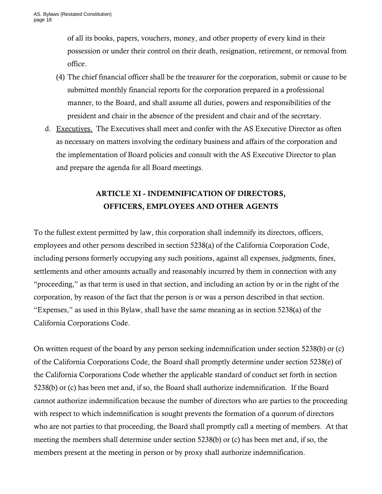of all its books, papers, vouchers, money, and other property of every kind in their possession or under their control on their death, resignation, retirement, or removal from office.

- (4) The chief financial officer shall be the treasurer for the corporation, submit or cause to be submitted monthly financial reports for the corporation prepared in a professional manner, to the Board, and shall assume all duties, powers and responsibilities of the president and chair in the absence of the president and chair and of the secretary.
- d. Executives. The Executives shall meet and confer with the AS Executive Director as often as necessary on matters involving the ordinary business and affairs of the corporation and the implementation of Board policies and consult with the AS Executive Director to plan and prepare the agenda for all Board meetings.

# ARTICLE XI - INDEMNIFICATION OF DIRECTORS, OFFICERS, EMPLOYEES AND OTHER AGENTS

 "proceeding," as that term is used in that section, and including an action by or in the right of the "Expenses," as used in this Bylaw, shall have the same meaning as in section 5238(a) of the To the fullest extent permitted by law, this corporation shall indemnify its directors, officers, employees and other persons described in section 5238(a) of the California Corporation Code, including persons formerly occupying any such positions, against all expenses, judgments, fines, settlements and other amounts actually and reasonably incurred by them in connection with any corporation, by reason of the fact that the person is or was a person described in that section. California Corporations Code.

On written request of the board by any person seeking indemnification under section 5238(b) or (c) of the California Corporations Code, the Board shall promptly determine under section 5238(e) of the California Corporations Code whether the applicable standard of conduct set forth in section 5238(b) or (c) has been met and, if so, the Board shall authorize indemnification. If the Board cannot authorize indemnification because the number of directors who are parties to the proceeding with respect to which indemnification is sought prevents the formation of a quorum of directors who are not parties to that proceeding, the Board shall promptly call a meeting of members. At that meeting the members shall determine under section 5238(b) or (c) has been met and, if so, the members present at the meeting in person or by proxy shall authorize indemnification.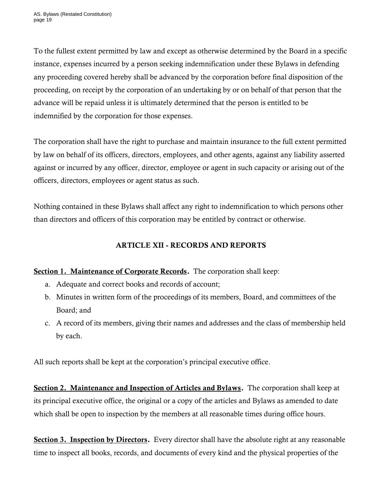To the fullest extent permitted by law and except as otherwise determined by the Board in a specific instance, expenses incurred by a person seeking indemnification under these Bylaws in defending any proceeding covered hereby shall be advanced by the corporation before final disposition of the proceeding, on receipt by the corporation of an undertaking by or on behalf of that person that the advance will be repaid unless it is ultimately determined that the person is entitled to be indemnified by the corporation for those expenses.

The corporation shall have the right to purchase and maintain insurance to the full extent permitted by law on behalf of its officers, directors, employees, and other agents, against any liability asserted against or incurred by any officer, director, employee or agent in such capacity or arising out of the officers, directors, employees or agent status as such.

Nothing contained in these Bylaws shall affect any right to indemnification to which persons other than directors and officers of this corporation may be entitled by contract or otherwise.

# ARTICLE XII - RECORDS AND REPORTS

# Section 1. Maintenance of Corporate Records. The corporation shall keep:

- a. Adequate and correct books and records of account;
- b. Minutes in written form of the proceedings of its members, Board, and committees of the Board; and
- c. A record of its members, giving their names and addresses and the class of membership held by each.

All such reports shall be kept at the corporation's principal executive office.

Section 2. Maintenance and Inspection of Articles and Bylaws. The corporation shall keep at its principal executive office, the original or a copy of the articles and Bylaws as amended to date which shall be open to inspection by the members at all reasonable times during office hours.

Section 3. Inspection by Directors. Every director shall have the absolute right at any reasonable time to inspect all books, records, and documents of every kind and the physical properties of the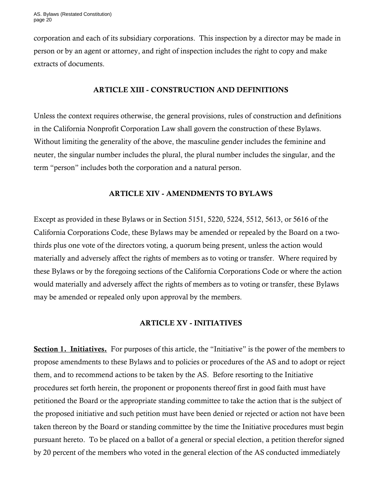corporation and each of its subsidiary corporations. This inspection by a director may be made in person or by an agent or attorney, and right of inspection includes the right to copy and make extracts of documents.

#### ARTICLE XIII - CONSTRUCTION AND DEFINITIONS

Unless the context requires otherwise, the general provisions, rules of construction and definitions in the California Nonprofit Corporation Law shall govern the construction of these Bylaws. Without limiting the generality of the above, the masculine gender includes the feminine and neuter, the singular number includes the plural, the plural number includes the singular, and the term "person" includes both the corporation and a natural person.

## ARTICLE XIV - AMENDMENTS TO BYLAWS

Except as provided in these Bylaws or in Section 5151, 5220, 5224, 5512, 5613, or 5616 of the California Corporations Code, these Bylaws may be amended or repealed by the Board on a twothirds plus one vote of the directors voting, a quorum being present, unless the action would materially and adversely affect the rights of members as to voting or transfer. Where required by these Bylaws or by the foregoing sections of the California Corporations Code or where the action would materially and adversely affect the rights of members as to voting or transfer, these Bylaws may be amended or repealed only upon approval by the members.

#### ARTICLE XV - INITIATIVES

Section 1. Initiatives. For purposes of this article, the "Initiative" is the power of the members to propose amendments to these Bylaws and to policies or procedures of the AS and to adopt or reject them, and to recommend actions to be taken by the AS. Before resorting to the Initiative procedures set forth herein, the proponent or proponents thereof first in good faith must have petitioned the Board or the appropriate standing committee to take the action that is the subject of the proposed initiative and such petition must have been denied or rejected or action not have been taken thereon by the Board or standing committee by the time the Initiative procedures must begin pursuant hereto. To be placed on a ballot of a general or special election, a petition therefor signed by 20 percent of the members who voted in the general election of the AS conducted immediately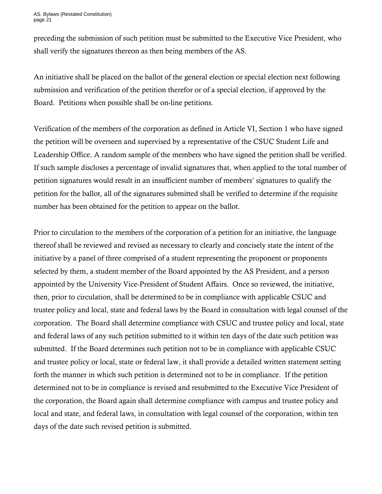preceding the submission of such petition must be submitted to the Executive Vice President, who shall verify the signatures thereon as then being members of the AS.

An initiative shall be placed on the ballot of the general election or special election next following submission and verification of the petition therefor or of a special election, if approved by the Board. Petitions when possible shall be on-line petitions.

 petition signatures would result in an insufficient number of members' signatures to qualify the Verification of the members of the corporation as defined in Article VI, Section 1 who have signed the petition will be overseen and supervised by a representative of the CSUC Student Life and Leadership Office. A random sample of the members who have signed the petition shall be verified. If such sample discloses a percentage of invalid signatures that, when applied to the total number of petition for the ballot, all of the signatures submitted shall be verified to determine if the requisite number has been obtained for the petition to appear on the ballot.

Prior to circulation to the members of the corporation of a petition for an initiative, the language thereof shall be reviewed and revised as necessary to clearly and concisely state the intent of the initiative by a panel of three comprised of a student representing the proponent or proponents selected by them, a student member of the Board appointed by the AS President, and a person appointed by the University Vice-President of Student Affairs. Once so reviewed, the initiative, then, prior to circulation, shall be determined to be in compliance with applicable CSUC and trustee policy and local, state and federal laws by the Board in consultation with legal counsel of the corporation. The Board shall determine compliance with CSUC and trustee policy and local, state and federal laws of any such petition submitted to it within ten days of the date such petition was submitted. If the Board determines such petition not to be in compliance with applicable CSUC and trustee policy or local, state or federal law, it shall provide a detailed written statement setting forth the manner in which such petition is determined not to be in compliance. If the petition determined not to be in compliance is revised and resubmitted to the Executive Vice President of the corporation, the Board again shall determine compliance with campus and trustee policy and local and state, and federal laws, in consultation with legal counsel of the corporation, within ten days of the date such revised petition is submitted.